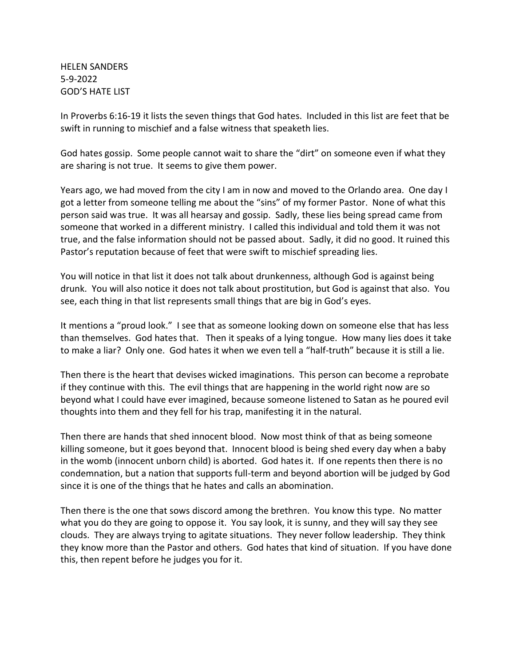HELEN SANDERS 5-9-2022 GOD'S HATE LIST

In Proverbs 6:16-19 it lists the seven things that God hates. Included in this list are feet that be swift in running to mischief and a false witness that speaketh lies.

God hates gossip. Some people cannot wait to share the "dirt" on someone even if what they are sharing is not true. It seems to give them power.

Years ago, we had moved from the city I am in now and moved to the Orlando area. One day I got a letter from someone telling me about the "sins" of my former Pastor. None of what this person said was true. It was all hearsay and gossip. Sadly, these lies being spread came from someone that worked in a different ministry. I called this individual and told them it was not true, and the false information should not be passed about. Sadly, it did no good. It ruined this Pastor's reputation because of feet that were swift to mischief spreading lies.

You will notice in that list it does not talk about drunkenness, although God is against being drunk. You will also notice it does not talk about prostitution, but God is against that also. You see, each thing in that list represents small things that are big in God's eyes.

It mentions a "proud look." I see that as someone looking down on someone else that has less than themselves. God hates that. Then it speaks of a lying tongue. How many lies does it take to make a liar? Only one. God hates it when we even tell a "half-truth" because it is still a lie.

Then there is the heart that devises wicked imaginations. This person can become a reprobate if they continue with this. The evil things that are happening in the world right now are so beyond what I could have ever imagined, because someone listened to Satan as he poured evil thoughts into them and they fell for his trap, manifesting it in the natural.

Then there are hands that shed innocent blood. Now most think of that as being someone killing someone, but it goes beyond that. Innocent blood is being shed every day when a baby in the womb (innocent unborn child) is aborted. God hates it. If one repents then there is no condemnation, but a nation that supports full-term and beyond abortion will be judged by God since it is one of the things that he hates and calls an abomination.

Then there is the one that sows discord among the brethren. You know this type. No matter what you do they are going to oppose it. You say look, it is sunny, and they will say they see clouds. They are always trying to agitate situations. They never follow leadership. They think they know more than the Pastor and others. God hates that kind of situation. If you have done this, then repent before he judges you for it.